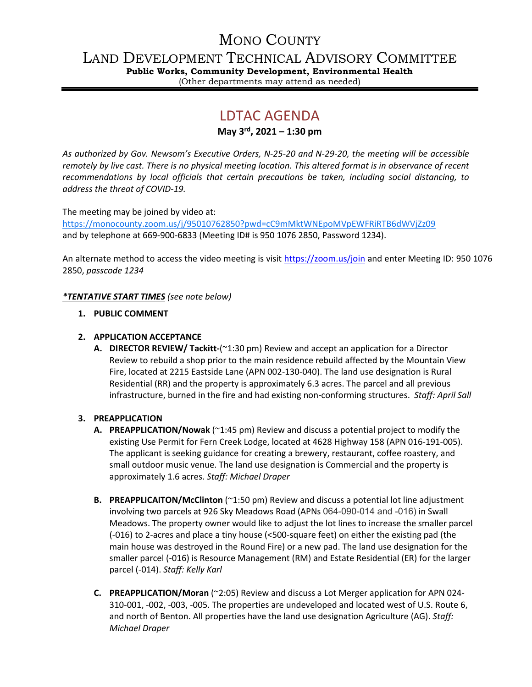# MONO COUNTY

LAND DEVELOPMENT TECHNICAL ADVISORY COMMITTEE

**Public Works, Community Development, Environmental Health** (Other departments may attend as needed)

# LDTAC AGENDA

**May 3rd, 2021 – 1:30 pm**

*As authorized by Gov. Newsom's Executive Orders, N-25-20 and N-29-20, the meeting will be accessible remotely by live cast. There is no physical meeting location. This altered format is in observance of recent recommendations by local officials that certain precautions be taken, including social distancing, to address the threat of COVID-19.*

The meeting may be joined by video at:

<https://monocounty.zoom.us/j/95010762850?pwd=cC9mMktWNEpoMVpEWFRiRTB6dWVjZz09> and by telephone at 669-900-6833 (Meeting ID# is 950 1076 2850, Password 1234).

An alternate method to access the video meeting is visit <https://zoom.us/join> and enter Meeting ID: 950 1076 2850, *passcode 1234*

## *\*TENTATIVE START TIMES (see note below)*

## **1. PUBLIC COMMENT**

## **2. APPLICATION ACCEPTANCE**

**A. DIRECTOR REVIEW/ Tackitt-**(~1:30 pm) Review and accept an application for a Director Review to rebuild a shop prior to the main residence rebuild affected by the Mountain View Fire, located at 2215 Eastside Lane (APN 002-130-040). The land use designation is Rural Residential (RR) and the property is approximately 6.3 acres. The parcel and all previous infrastructure, burned in the fire and had existing non-conforming structures. *Staff: April Sall*

#### **3. PREAPPLICATION**

- **A. PREAPPLICATION/Nowak** (~1:45 pm) Review and discuss a potential project to modify the existing Use Permit for Fern Creek Lodge, located at 4628 Highway 158 (APN 016-191-005). The applicant is seeking guidance for creating a brewery, restaurant, coffee roastery, and small outdoor music venue. The land use designation is Commercial and the property is approximately 1.6 acres. *Staff: Michael Draper*
- **B. PREAPPLICAITON/McClinton** (~1:50 pm) Review and discuss a potential lot line adjustment involving two parcels at 926 Sky Meadows Road (APNs 064-090-014 and -016) in Swall Meadows. The property owner would like to adjust the lot lines to increase the smaller parcel (-016) to 2-acres and place a tiny house (<500-square feet) on either the existing pad (the main house was destroyed in the Round Fire) or a new pad. The land use designation for the smaller parcel (-016) is Resource Management (RM) and Estate Residential (ER) for the larger parcel (-014). *Staff: Kelly Karl*
- **C. PREAPPLICATION/Moran** (~2:05) Review and discuss a Lot Merger application for APN 024- 310-001, -002, -003, -005. The properties are undeveloped and located west of U.S. Route 6, and north of Benton. All properties have the land use designation Agriculture (AG). *Staff: Michael Draper*